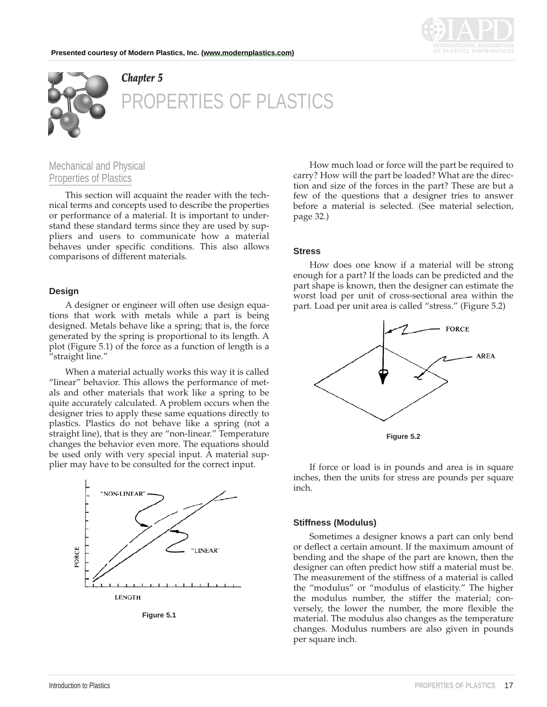



# *Chapter 5* ERTIES OF PLASTICS

# Mechanical and Physical Properties of Plastics

This section will acquaint the reader with the technical terms and concepts used to describe the properties or performance of a material. It is important to understand these standard terms since they are used by suppliers and users to communicate how a material behaves under specific conditions. This also allows comparisons of different materials.

### **Design**

A designer or engineer will often use design equations that work with metals while a part is being designed. Metals behave like a spring; that is, the force generated by the spring is proportional to its length. A plot (Figure 5.1) of the force as a function of length is a "straight line."

When a material actually works this way it is called "linear" behavior. This allows the performance of metals and other materials that work like a spring to be quite accurately calculated. A problem occurs when the designer tries to apply these same equations directly to plastics. Plastics do not behave like a spring (not a straight line), that is they are "non-linear." Temperature changes the behavior even more. The equations should be used only with very special input. A material supplier may have to be consulted for the correct input.



**Figure 5.1**

How much load or force will the part be required to carry? How will the part be loaded? What are the direction and size of the forces in the part? These are but a few of the questions that a designer tries to answer before a material is selected. (See material selection, page 32.)

#### **Stress**

How does one know if a material will be strong enough for a part? If the loads can be predicted and the part shape is known, then the designer can estimate the worst load per unit of cross-sectional area within the part. Load per unit area is called "stress." (Figure 5.2)



If force or load is in pounds and area is in square inches, then the units for stress are pounds per square inch.

#### **Stiffness (Modulus)**

Sometimes a designer knows a part can only bend or deflect a certain amount. If the maximum amount of bending and the shape of the part are known, then the designer can often predict how stiff a material must be. The measurement of the stiffness of a material is called the "modulus" or "modulus of elasticity." The higher the modulus number, the stiffer the material; conversely, the lower the number, the more flexible the material. The modulus also changes as the temperature changes. Modulus numbers are also given in pounds per square inch.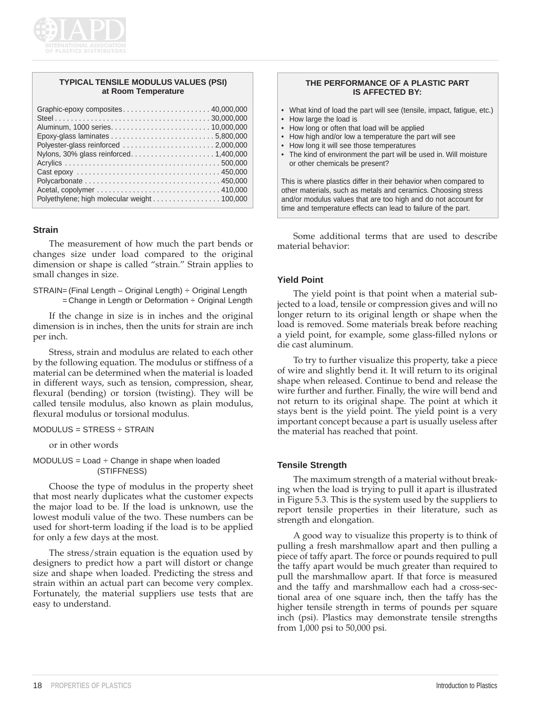

### **TYPICAL TENSILE MODULUS VALUES (PSI) at Room Temperature**

| Polyethylene; high molecular weight 100,000 |
|---------------------------------------------|

### **Strain**

The measurement of how much the part bends or changes size under load compared to the original dimension or shape is called "strain." Strain applies to small changes in size.

STRAIN= (Final Length – Original Length) ÷ Original Length  $=$  Change in Length or Deformation  $\div$  Original Length

If the change in size is in inches and the original dimension is in inches, then the units for strain are inch per inch.

Stress, strain and modulus are related to each other by the following equation. The modulus or stiffness of a material can be determined when the material is loaded in different ways, such as tension, compression, shear, flexural (bending) or torsion (twisting). They will be called tensile modulus, also known as plain modulus, flexural modulus or torsional modulus.

#### MODULUS = STRESS ÷ STRAIN

or in other words

 $MODULUS = Load \div Change$  in shape when loaded (STIFFNESS)

Choose the type of modulus in the property sheet that most nearly duplicates what the customer expects the major load to be. If the load is unknown, use the lowest moduli value of the two. These numbers can be used for short-term loading if the load is to be applied for only a few days at the most.

The stress/strain equation is the equation used by designers to predict how a part will distort or change size and shape when loaded. Predicting the stress and strain within an actual part can become very complex. Fortunately, the material suppliers use tests that are easy to understand.

#### **THE PERFORMANCE OF A PLASTIC PART IS AFFECTED BY:**

- What kind of load the part will see (tensile, impact, fatigue, etc.)
- How large the load is
- How long or often that load will be applied
- How high and/or low a temperature the part will see
- How long it will see those temperatures
- The kind of environment the part will be used in. Will moisture or other chemicals be present?

This is where plastics differ in their behavior when compared to other materials, such as metals and ceramics. Choosing stress and/or modulus values that are too high and do not account for time and temperature effects can lead to failure of the part.

Some additional terms that are used to describe material behavior:

# **Yield Point**

The yield point is that point when a material subjected to a load, tensile or compression gives and will no longer return to its original length or shape when the load is removed. Some materials break before reaching a yield point, for example, some glass-filled nylons or die cast aluminum.

To try to further visualize this property, take a piece of wire and slightly bend it. It will return to its original shape when released. Continue to bend and release the wire further and further. Finally, the wire will bend and not return to its original shape. The point at which it stays bent is the yield point. The yield point is a very important concept because a part is usually useless after the material has reached that point.

#### **Tensile Strength**

The maximum strength of a material without breaking when the load is trying to pull it apart is illustrated in Figure 5.3. This is the system used by the suppliers to report tensile properties in their literature, such as strength and elongation.

A good way to visualize this property is to think of pulling a fresh marshmallow apart and then pulling a piece of taffy apart. The force or pounds required to pull the taffy apart would be much greater than required to pull the marshmallow apart. If that force is measured and the taffy and marshmallow each had a cross-sectional area of one square inch, then the taffy has the higher tensile strength in terms of pounds per square inch (psi). Plastics may demonstrate tensile strengths from 1,000 psi to 50,000 psi.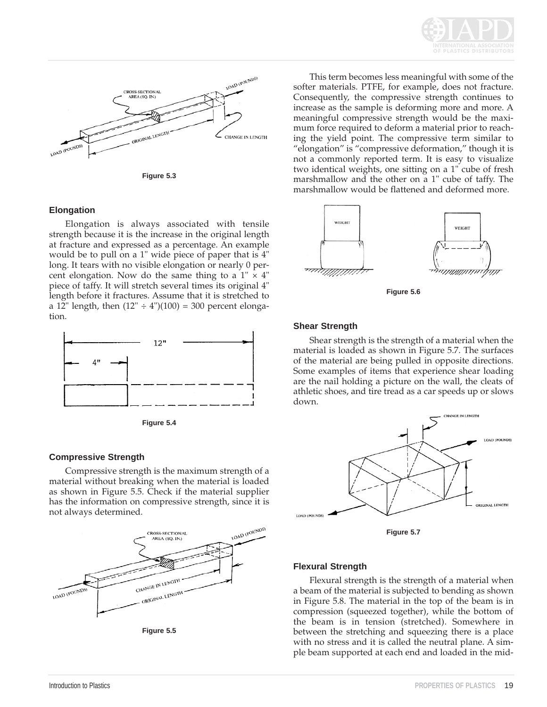



**Figure 5.3**

### **Elongation**

Elongation is always associated with tensile strength because it is the increase in the original length at fracture and expressed as a percentage. An example would be to pull on a 1" wide piece of paper that is 4" long. It tears with no visible elongation or nearly 0 percent elongation. Now do the same thing to a  $1'' \times 4''$ piece of taffy. It will stretch several times its original 4" length before it fractures. Assume that it is stretched to a 12" length, then  $(12" \div 4")$  $(100) = 300$  percent elongation.



**Figure 5.4**

# **Compressive Strength**

Compressive strength is the maximum strength of a material without breaking when the material is loaded as shown in Figure 5.5. Check if the material supplier has the information on compressive strength, since it is not always determined.



**Figure 5.5**

This term becomes less meaningful with some of the softer materials. PTFE, for example, does not fracture. Consequently, the compressive strength continues to increase as the sample is deforming more and more. A meaningful compressive strength would be the maximum force required to deform a material prior to reaching the yield point. The compressive term similar to "elongation" is "compressive deformation," though it is not a commonly reported term. It is easy to visualize two identical weights, one sitting on a 1" cube of fresh marshmallow and the other on a 1" cube of taffy. The marshmallow would be flattened and deformed more.



**Figure 5.6**

#### **Shear Strength**

Shear strength is the strength of a material when the material is loaded as shown in Figure 5.7. The surfaces of the material are being pulled in opposite directions. Some examples of items that experience shear loading are the nail holding a picture on the wall, the cleats of athletic shoes, and tire tread as a car speeds up or slows down.



#### **Flexural Strength**

Flexural strength is the strength of a material when a beam of the material is subjected to bending as shown in Figure 5.8. The material in the top of the beam is in compression (squeezed together), while the bottom of the beam is in tension (stretched). Somewhere in between the stretching and squeezing there is a place with no stress and it is called the neutral plane. A simple beam supported at each end and loaded in the mid-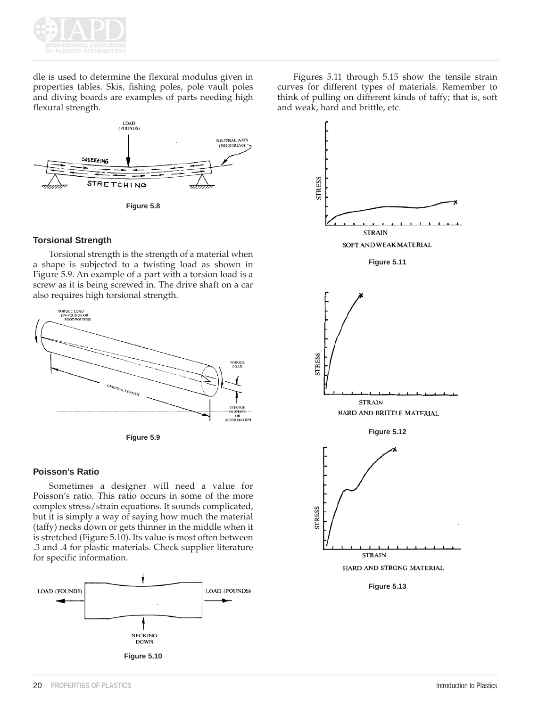

dle is used to determine the flexural modulus given in properties tables. Skis, fishing poles, pole vault poles and diving boards are examples of parts needing high flexural strength.



# **Torsional Strength**

Torsional strength is the strength of a material when a shape is subjected to a twisting load as shown in Figure 5.9. An example of a part with a torsion load is a screw as it is being screwed in. The drive shaft on a car also requires high torsional strength.



**Figure 5.9**

# **Poisson's Ratio**

Sometimes a designer will need a value for Poisson's ratio. This ratio occurs in some of the more complex stress/strain equations. It sounds complicated, but it is simply a way of saying how much the material (taffy) necks down or gets thinner in the middle when it is stretched (Figure 5.10). Its value is most often between .3 and .4 for plastic materials. Check supplier literature for specific information.











HARD AND STRONG MATERIAL

**Figure 5.13**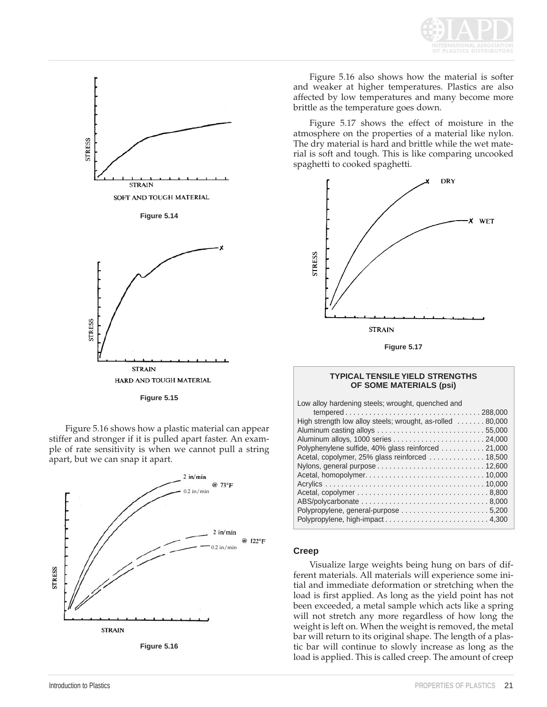



**Figure 5.15**

Figure 5.16 shows how a plastic material can appear stiffer and stronger if it is pulled apart faster. An example of rate sensitivity is when we cannot pull a string apart, but we can snap it apart.



**Figure 5.16**

Figure 5.16 also shows how the material is softer and weaker at higher temperatures. Plastics are also affected by low temperatures and many become more brittle as the temperature goes down.

Figure 5.17 shows the effect of moisture in the atmosphere on the properties of a material like nylon. The dry material is hard and brittle while the wet material is soft and tough. This is like comparing uncooked spaghetti to cooked spaghetti.



**Figure 5.17**

#### **TYPICAL TENSILE YIELD STRENGTHS OF SOME MATERIALS (psi)**

Low alloy hardening steels; wrought, quenched and

| High strength low alloy steels; wrought, as-rolled  80,000 |
|------------------------------------------------------------|
|                                                            |
|                                                            |
| Polyphenylene sulfide, 40% glass reinforced 21,000         |
| Acetal, copolymer, 25% glass reinforced  18,500            |
|                                                            |
|                                                            |
|                                                            |
|                                                            |
|                                                            |
|                                                            |
| Polypropylene, high-impact 4,300                           |

#### **Creep**

Visualize large weights being hung on bars of different materials. All materials will experience some initial and immediate deformation or stretching when the load is first applied. As long as the yield point has not been exceeded, a metal sample which acts like a spring will not stretch any more regardless of how long the weight is left on. When the weight is removed, the metal bar will return to its original shape. The length of a plastic bar will continue to slowly increase as long as the load is applied. This is called creep. The amount of creep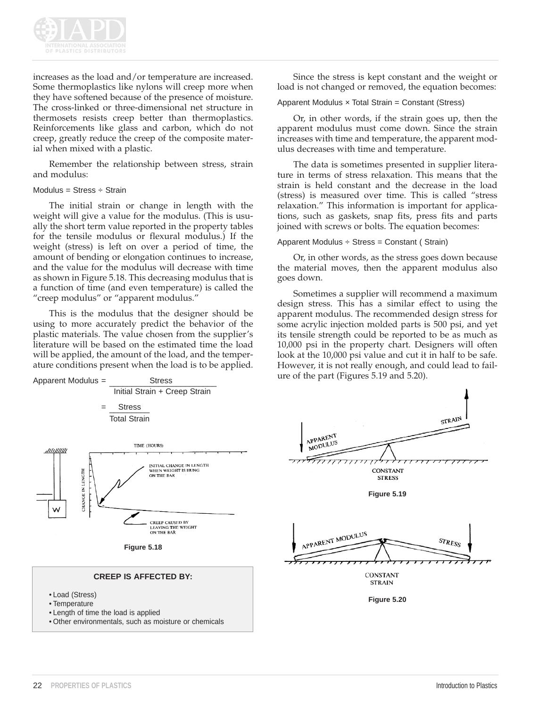

increases as the load and/or temperature are increased. Some thermoplastics like nylons will creep more when they have softened because of the presence of moisture. The cross-linked or three-dimensional net structure in thermosets resists creep better than thermoplastics. Reinforcements like glass and carbon, which do not creep, greatly reduce the creep of the composite material when mixed with a plastic.

Remember the relationship between stress, strain and modulus:

#### Modulus = Stress  $\div$  Strain

The initial strain or change in length with the weight will give a value for the modulus. (This is usually the short term value reported in the property tables for the tensile modulus or flexural modulus.) If the weight (stress) is left on over a period of time, the amount of bending or elongation continues to increase, and the value for the modulus will decrease with time as shown in Figure 5.18. This decreasing modulus that is a function of time (and even temperature) is called the "creep modulus" or "apparent modulus."

This is the modulus that the designer should be using to more accurately predict the behavior of the plastic materials. The value chosen from the supplier's literature will be based on the estimated time the load will be applied, the amount of the load, and the temperature conditions present when the load is to be applied.



• Other environmentals, such as moisture or chemicals

Since the stress is kept constant and the weight or load is not changed or removed, the equation becomes:

#### Apparent Modulus  $\times$  Total Strain = Constant (Stress)

Or, in other words, if the strain goes up, then the apparent modulus must come down. Since the strain increases with time and temperature, the apparent modulus decreases with time and temperature.

The data is sometimes presented in supplier literature in terms of stress relaxation. This means that the strain is held constant and the decrease in the load (stress) is measured over time. This is called "stress relaxation." This information is important for applications, such as gaskets, snap fits, press fits and parts joined with screws or bolts. The equation becomes:

#### Apparent Modulus  $\div$  Stress = Constant (Strain)

Or, in other words, as the stress goes down because the material moves, then the apparent modulus also goes down.

Sometimes a supplier will recommend a maximum design stress. This has a similar effect to using the apparent modulus. The recommended design stress for some acrylic injection molded parts is 500 psi, and yet its tensile strength could be reported to be as much as 10,000 psi in the property chart. Designers will often look at the 10,000 psi value and cut it in half to be safe. However, it is not really enough, and could lead to failure of the part (Figures 5.19 and 5.20).

STRAIN

STRESS

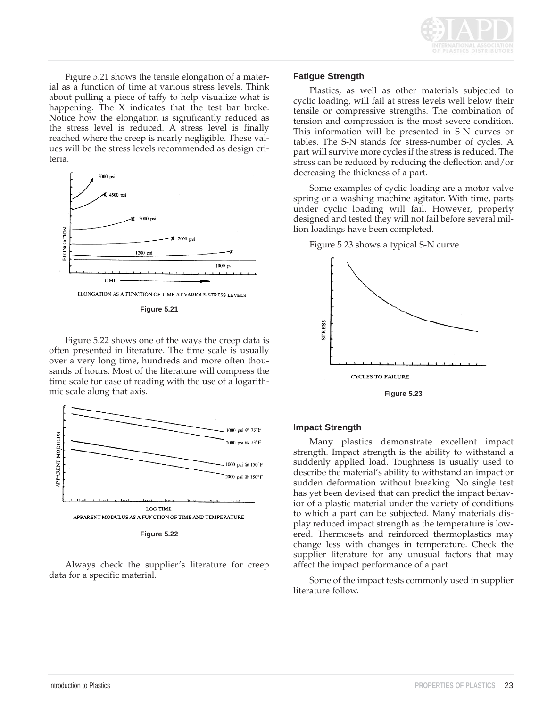

Figure 5.21 shows the tensile elongation of a material as a function of time at various stress levels. Think about pulling a piece of taffy to help visualize what is happening. The X indicates that the test bar broke. Notice how the elongation is significantly reduced as the stress level is reduced. A stress level is finally reached where the creep is nearly negligible. These values will be the stress levels recommended as design criteria.



**Figure 5.21**

Figure 5.22 shows one of the ways the creep data is often presented in literature. The time scale is usually over a very long time, hundreds and more often thousands of hours. Most of the literature will compress the time scale for ease of reading with the use of a logarithmic scale along that axis.



**Figure 5.22**

Always check the supplier's literature for creep data for a specific material.

# **Fatigue Strength**

Plastics, as well as other materials subjected to cyclic loading, will fail at stress levels well below their tensile or compressive strengths. The combination of tension and compression is the most severe condition. This information will be presented in S-N curves or tables. The S-N stands for stress-number of cycles. A part will survive more cycles if the stress is reduced. The stress can be reduced by reducing the deflection and/or decreasing the thickness of a part.

Some examples of cyclic loading are a motor valve spring or a washing machine agitator. With time, parts under cyclic loading will fail. However, properly designed and tested they will not fail before several million loadings have been completed.

Figure 5.23 shows a typical S-N curve.



**Figure 5.23**

# **Impact Strength**

Many plastics demonstrate excellent impact strength. Impact strength is the ability to withstand a suddenly applied load. Toughness is usually used to describe the material's ability to withstand an impact or sudden deformation without breaking. No single test has yet been devised that can predict the impact behavior of a plastic material under the variety of conditions to which a part can be subjected. Many materials display reduced impact strength as the temperature is lowered. Thermosets and reinforced thermoplastics may change less with changes in temperature. Check the supplier literature for any unusual factors that may affect the impact performance of a part.

Some of the impact tests commonly used in supplier literature follow.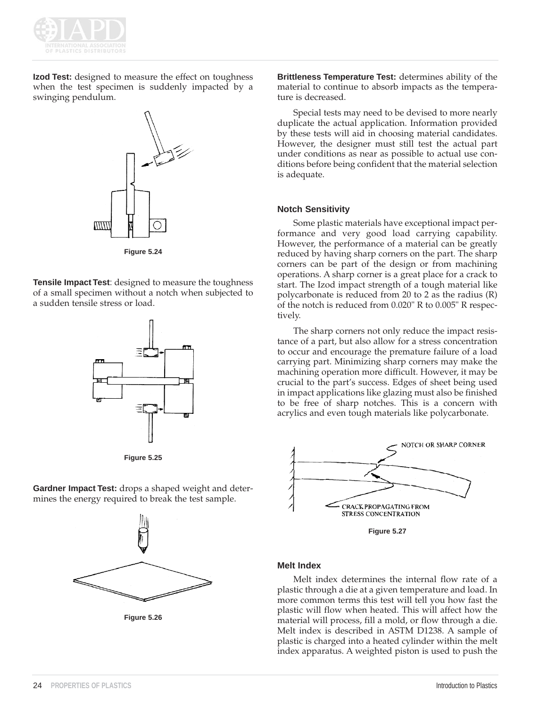

**Izod Test:** designed to measure the effect on toughness when the test specimen is suddenly impacted by a swinging pendulum.



**Figure 5.24**

**Tensile Impact Test**: designed to measure the toughness of a small specimen without a notch when subjected to a sudden tensile stress or load.

**Figure 5.25**

**Gardner Impact Test:** drops a shaped weight and determines the energy required to break the test sample.



**Figure 5.26**

**Brittleness Temperature Test:** determines ability of the material to continue to absorb impacts as the temperature is decreased.

Special tests may need to be devised to more nearly duplicate the actual application. Information provided by these tests will aid in choosing material candidates. However, the designer must still test the actual part under conditions as near as possible to actual use conditions before being confident that the material selection is adequate.

### **Notch Sensitivity**

Some plastic materials have exceptional impact performance and very good load carrying capability. However, the performance of a material can be greatly reduced by having sharp corners on the part. The sharp corners can be part of the design or from machining operations. A sharp corner is a great place for a crack to start. The Izod impact strength of a tough material like polycarbonate is reduced from 20 to 2 as the radius (R) of the notch is reduced from 0.020" R to 0.005" R respectively.

The sharp corners not only reduce the impact resistance of a part, but also allow for a stress concentration to occur and encourage the premature failure of a load carrying part. Minimizing sharp corners may make the machining operation more difficult. However, it may be crucial to the part's success. Edges of sheet being used in impact applications like glazing must also be finished to be free of sharp notches. This is a concern with acrylics and even tough materials like polycarbonate.



#### **Melt Index**

Melt index determines the internal flow rate of a plastic through a die at a given temperature and load. In more common terms this test will tell you how fast the plastic will flow when heated. This will affect how the material will process, fill a mold, or flow through a die. Melt index is described in ASTM D1238. A sample of plastic is charged into a heated cylinder within the melt index apparatus. A weighted piston is used to push the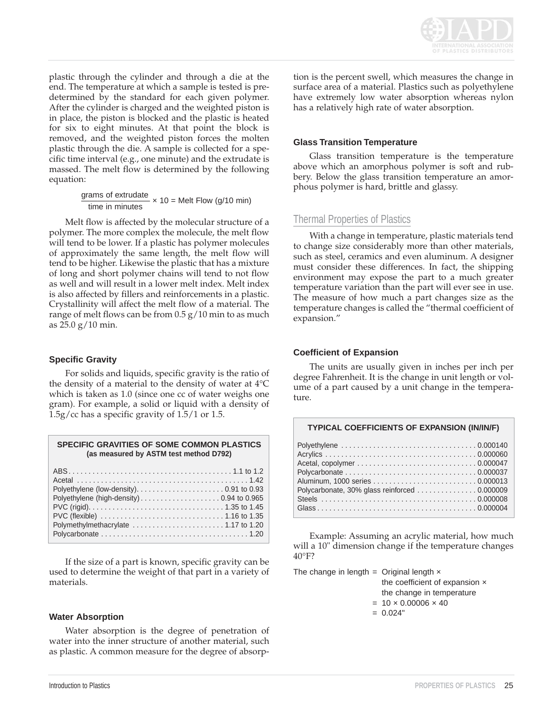

plastic through the cylinder and through a die at the end. The temperature at which a sample is tested is predetermined by the standard for each given polymer. After the cylinder is charged and the weighted piston is in place, the piston is blocked and the plastic is heated for six to eight minutes. At that point the block is removed, and the weighted piston forces the molten plastic through the die. A sample is collected for a specific time interval (e.g., one minute) and the extrudate is massed. The melt flow is determined by the following equation:

grams of extrudate  $\times$  10 = Melt Flow (g/10 min) time in minutes

Melt flow is affected by the molecular structure of a polymer. The more complex the molecule, the melt flow will tend to be lower. If a plastic has polymer molecules of approximately the same length, the melt flow will tend to be higher. Likewise the plastic that has a mixture of long and short polymer chains will tend to not flow as well and will result in a lower melt index. Melt index is also affected by fillers and reinforcements in a plastic. Crystallinity will affect the melt flow of a material. The range of melt flows can be from  $0.5$  g/10 min to as much as 25.0 g/10 min.

# **Specific Gravity**

For solids and liquids, specific gravity is the ratio of the density of a material to the density of water at 4°C which is taken as 1.0 (since one cc of water weighs one gram). For example, a solid or liquid with a density of 1.5g/cc has a specific gravity of 1.5/1 or 1.5.

| <b>SPECIFIC GRAVITIES OF SOME COMMON PLASTICS</b> |
|---------------------------------------------------|
| (as measured by ASTM test method D792)            |

If the size of a part is known, specific gravity can be used to determine the weight of that part in a variety of materials.

#### **Water Absorption**

Water absorption is the degree of penetration of water into the inner structure of another material, such as plastic. A common measure for the degree of absorption is the percent swell, which measures the change in surface area of a material. Plastics such as polyethylene have extremely low water absorption whereas nylon has a relatively high rate of water absorption.

### **Glass Transition Temperature**

Glass transition temperature is the temperature above which an amorphous polymer is soft and rubbery. Below the glass transition temperature an amorphous polymer is hard, brittle and glassy.

# Thermal Properties of Plastics

With a change in temperature, plastic materials tend to change size considerably more than other materials, such as steel, ceramics and even aluminum. A designer must consider these differences. In fact, the shipping environment may expose the part to a much greater temperature variation than the part will ever see in use. The measure of how much a part changes size as the temperature changes is called the "thermal coefficient of expansion."

#### **Coefficient of Expansion**

The units are usually given in inches per inch per degree Fahrenheit. It is the change in unit length or volume of a part caused by a unit change in the temperature.

| Polycarbonate, 30% glass reinforced 0.000009 |  |
|----------------------------------------------|--|
|                                              |  |
|                                              |  |

Example: Assuming an acrylic material, how much will a 10" dimension change if the temperature changes 40°F?

The change in length = Original length  $\times$ the coefficient of expansion ×

the change in temperature

 $= 10 \times 0.00006 \times 40$ 

 $= 0.024"$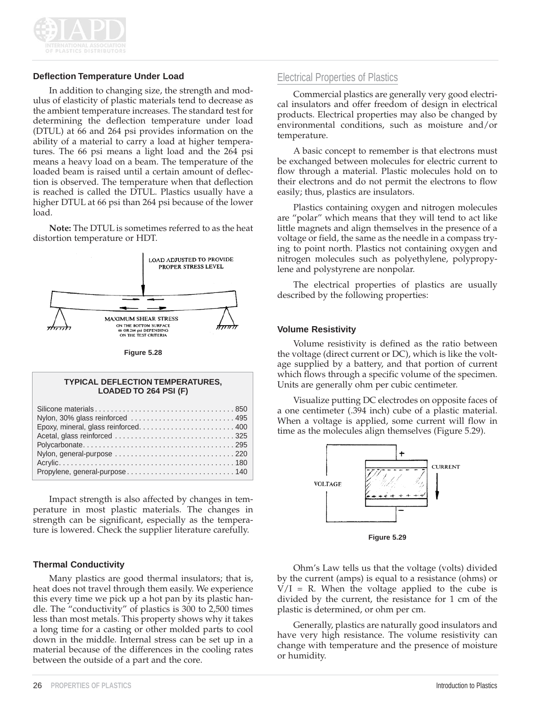

# **Deflection Temperature Under Load**

In addition to changing size, the strength and modulus of elasticity of plastic materials tend to decrease as the ambient temperature increases. The standard test for determining the deflection temperature under load (DTUL) at 66 and 264 psi provides information on the ability of a material to carry a load at higher temperatures. The 66 psi means a light load and the 264 psi means a heavy load on a beam. The temperature of the loaded beam is raised until a certain amount of deflection is observed. The temperature when that deflection is reached is called the DTUL. Plastics usually have a higher DTUL at 66 psi than 264 psi because of the lower load.

**Note:** The DTUL is sometimes referred to as the heat distortion temperature or HDT.



**Figure 5.28**

#### **TYPICAL DEFLECTION TEMPERATURES, LOADED TO 264 PSI (F)**

| Nylon, 30% glass reinforced  495 |
|----------------------------------|
|                                  |
|                                  |
|                                  |
|                                  |
|                                  |
| Propylene, general-purpose 140   |

Impact strength is also affected by changes in temperature in most plastic materials. The changes in strength can be significant, especially as the temperature is lowered. Check the supplier literature carefully.

# **Thermal Conductivity**

Many plastics are good thermal insulators; that is, heat does not travel through them easily. We experience this every time we pick up a hot pan by its plastic handle. The "conductivity" of plastics is 300 to 2,500 times less than most metals. This property shows why it takes a long time for a casting or other molded parts to cool down in the middle. Internal stress can be set up in a material because of the differences in the cooling rates between the outside of a part and the core.

# Electrical Properties of Plastics

Commercial plastics are generally very good electrical insulators and offer freedom of design in electrical products. Electrical properties may also be changed by environmental conditions, such as moisture and/or temperature.

A basic concept to remember is that electrons must be exchanged between molecules for electric current to flow through a material. Plastic molecules hold on to their electrons and do not permit the electrons to flow easily; thus, plastics are insulators.

Plastics containing oxygen and nitrogen molecules are "polar" which means that they will tend to act like little magnets and align themselves in the presence of a voltage or field, the same as the needle in a compass trying to point north. Plastics not containing oxygen and nitrogen molecules such as polyethylene, polypropylene and polystyrene are nonpolar.

The electrical properties of plastics are usually described by the following properties:

#### **Volume Resistivity**

Volume resistivity is defined as the ratio between the voltage (direct current or DC), which is like the voltage supplied by a battery, and that portion of current which flows through a specific volume of the specimen. Units are generally ohm per cubic centimeter.

Visualize putting DC electrodes on opposite faces of a one centimeter (.394 inch) cube of a plastic material. When a voltage is applied, some current will flow in time as the molecules align themselves (Figure 5.29).



**Figure 5.29**

Ohm's Law tells us that the voltage (volts) divided by the current (amps) is equal to a resistance (ohms) or  $V/I = R$ . When the voltage applied to the cube is divided by the current, the resistance for 1 cm of the plastic is determined, or ohm per cm.

Generally, plastics are naturally good insulators and have very high resistance. The volume resistivity can change with temperature and the presence of moisture or humidity.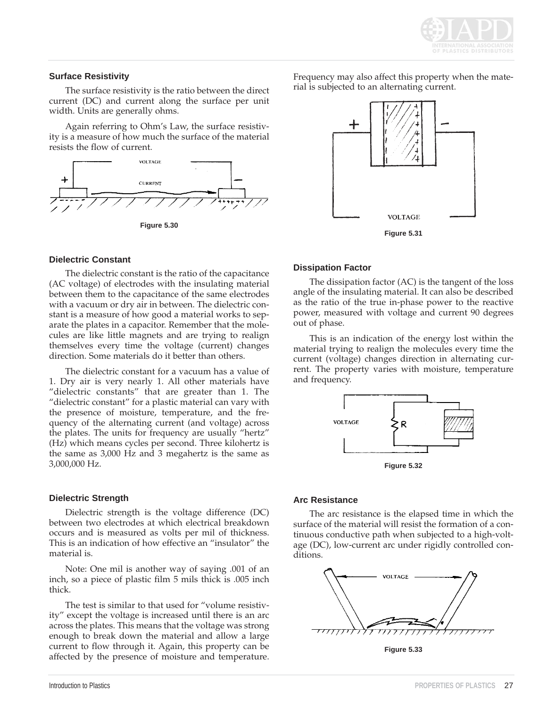

#### **Surface Resistivity**

The surface resistivity is the ratio between the direct current (DC) and current along the surface per unit width. Units are generally ohms.

Again referring to Ohm's Law, the surface resistivity is a measure of how much the surface of the material resists the flow of current.



**Figure 5.30**

### **Dielectric Constant**

The dielectric constant is the ratio of the capacitance (AC voltage) of electrodes with the insulating material between them to the capacitance of the same electrodes with a vacuum or dry air in between. The dielectric constant is a measure of how good a material works to separate the plates in a capacitor. Remember that the molecules are like little magnets and are trying to realign themselves every time the voltage (current) changes direction. Some materials do it better than others.

The dielectric constant for a vacuum has a value of 1. Dry air is very nearly 1. All other materials have "dielectric constants" that are greater than 1. The "dielectric constant" for a plastic material can vary with the presence of moisture, temperature, and the frequency of the alternating current (and voltage) across the plates. The units for frequency are usually "hertz" (Hz) which means cycles per second. Three kilohertz is the same as 3,000 Hz and 3 megahertz is the same as 3,000,000 Hz.

# **Dielectric Strength**

Dielectric strength is the voltage difference (DC) between two electrodes at which electrical breakdown occurs and is measured as volts per mil of thickness. This is an indication of how effective an "insulator" the material is.

Note: One mil is another way of saying .001 of an inch, so a piece of plastic film 5 mils thick is .005 inch thick.

The test is similar to that used for "volume resistivity" except the voltage is increased until there is an arc across the plates. This means that the voltage was strong enough to break down the material and allow a large current to flow through it. Again, this property can be affected by the presence of moisture and temperature.

Frequency may also affect this property when the material is subjected to an alternating current.



# **Dissipation Factor**

The dissipation factor (AC) is the tangent of the loss angle of the insulating material. It can also be described as the ratio of the true in-phase power to the reactive power, measured with voltage and current 90 degrees out of phase.

This is an indication of the energy lost within the material trying to realign the molecules every time the current (voltage) changes direction in alternating current. The property varies with moisture, temperature and frequency.



# **Arc Resistance**

The arc resistance is the elapsed time in which the surface of the material will resist the formation of a continuous conductive path when subjected to a high-voltage (DC), low-current arc under rigidly controlled conditions.



**Figure 5.33**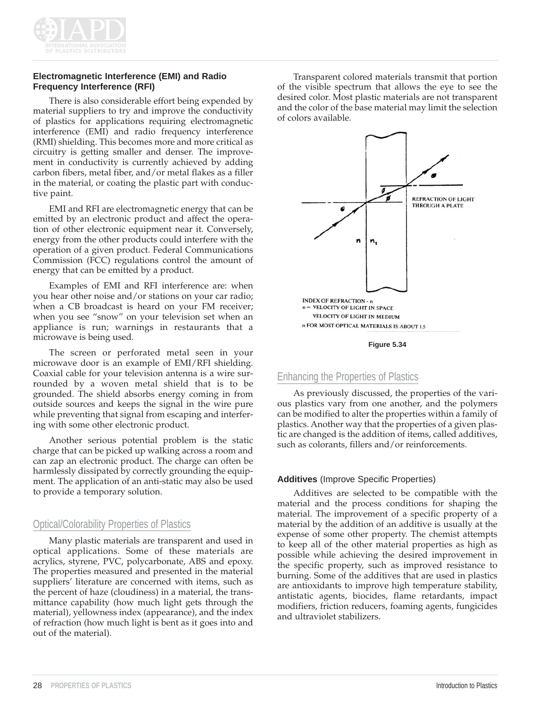

# **Electromagnetic Interference (EMI) and Radio Frequency Interference (RFI)**

There is also considerable effort being expended by material suppliers to try and improve the conductivity of plastics for applications requiring electromagnetic interference (EMI) and radio frequency interference (RMI) shielding. This becomes more and more critical as circuitry is getting smaller and denser. The improvement in conductivity is currently achieved by adding carbon fibers, metal fiber, and/or metal flakes as a filler in the material, or coating the plastic part with conductive paint.

EMI and RFI are electromagnetic energy that can be emitted by an electronic product and affect the operation of other electronic equipment near it. Conversely, energy from the other products could interfere with the operation of a given product. Federal Communications Commission (FCC) regulations control the amount of energy that can be emitted by a product.

Examples of EMI and RFI interference are: when you hear other noise and/or stations on your car radio; when a CB broadcast is heard on your FM receiver; when you see "snow" on your television set when an appliance is run; warnings in restaurants that a microwave is being used.

The screen or perforated metal seen in your microwave door is an example of EMI/RFI shielding. Coaxial cable for your television antenna is a wire surrounded by a woven metal shield that is to be grounded. The shield absorbs energy coming in from outside sources and keeps the signal in the wire pure while preventing that signal from escaping and interfering with some other electronic product.

Another serious potential problem is the static charge that can be picked up walking across a room and can zap an electronic product. The charge can often be harmlessly dissipated by correctly grounding the equipment. The application of an anti-static may also be used to provide a temporary solution.

# Optical/Colorability Properties of Plastics

Many plastic materials are transparent and used in optical applications. Some of these materials are acrylics, styrene, PVC, polycarbonate, ABS and epoxy. The properties measured and presented in the material suppliers' literature are concerned with items, such as the percent of haze (cloudiness) in a material, the transmittance capability (how much light gets through the material), yellowness index (appearance), and the index of refraction (how much light is bent as it goes into and out of the material).

Transparent colored materials transmit that portion of the visible spectrum that allows the eye to see the desired color. Most plastic materials are not transparent and the color of the base material may limit the selection of colors available.





# Enhancing the Properties of Plastics

As previously discussed, the properties of the various plastics vary from one another, and the polymers can be modified to alter the properties within a family of plastics. Another way that the properties of a given plastic are changed is the addition of items, called additives, such as colorants, fillers and/or reinforcements.

# **Additives** (Improve Specific Properties)

Additives are selected to be compatible with the material and the process conditions for shaping the material. The improvement of a specific property of a material by the addition of an additive is usually at the expense of some other property. The chemist attempts to keep all of the other material properties as high as possible while achieving the desired improvement in the specific property, such as improved resistance to burning. Some of the additives that are used in plastics are antioxidants to improve high temperature stability, antistatic agents, biocides, flame retardants, impact modifiers, friction reducers, foaming agents, fungicides and ultraviolet stabilizers.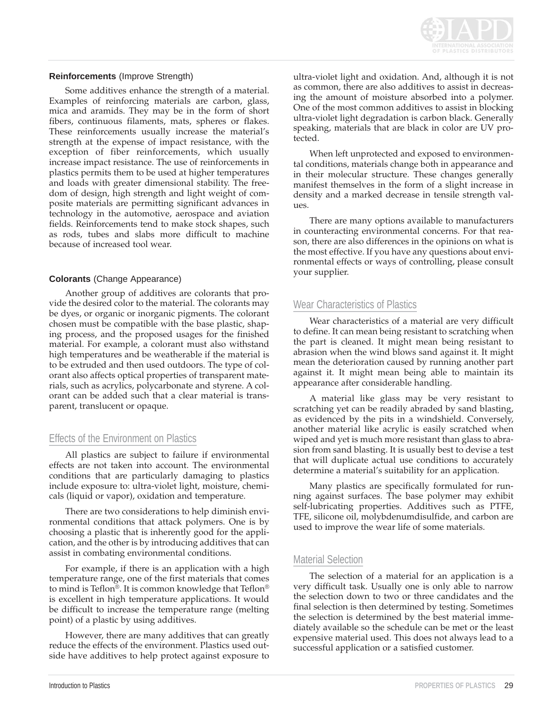

#### **Reinforcements** (Improve Strength)

Some additives enhance the strength of a material. Examples of reinforcing materials are carbon, glass, mica and aramids. They may be in the form of short fibers, continuous filaments, mats, spheres or flakes. These reinforcements usually increase the material's strength at the expense of impact resistance, with the exception of fiber reinforcements, which usually increase impact resistance. The use of reinforcements in plastics permits them to be used at higher temperatures and loads with greater dimensional stability. The freedom of design, high strength and light weight of composite materials are permitting significant advances in technology in the automotive, aerospace and aviation fields. Reinforcements tend to make stock shapes, such as rods, tubes and slabs more difficult to machine because of increased tool wear.

### **Colorants** (Change Appearance)

Another group of additives are colorants that provide the desired color to the material. The colorants may be dyes, or organic or inorganic pigments. The colorant chosen must be compatible with the base plastic, shaping process, and the proposed usages for the finished material. For example, a colorant must also withstand high temperatures and be weatherable if the material is to be extruded and then used outdoors. The type of colorant also affects optical properties of transparent materials, such as acrylics, polycarbonate and styrene. A colorant can be added such that a clear material is transparent, translucent or opaque.

# Effects of the Environment on Plastics

All plastics are subject to failure if environmental effects are not taken into account. The environmental conditions that are particularly damaging to plastics include exposure to: ultra-violet light, moisture, chemicals (liquid or vapor), oxidation and temperature.

There are two considerations to help diminish environmental conditions that attack polymers. One is by choosing a plastic that is inherently good for the application, and the other is by introducing additives that can assist in combating environmental conditions.

For example, if there is an application with a high temperature range, one of the first materials that comes to mind is Teflon®. It is common knowledge that Teflon® is excellent in high temperature applications. It would be difficult to increase the temperature range (melting point) of a plastic by using additives.

However, there are many additives that can greatly reduce the effects of the environment. Plastics used outside have additives to help protect against exposure to ultra-violet light and oxidation. And, although it is not as common, there are also additives to assist in decreasing the amount of moisture absorbed into a polymer. One of the most common additives to assist in blocking ultra-violet light degradation is carbon black. Generally speaking, materials that are black in color are UV protected.

When left unprotected and exposed to environmental conditions, materials change both in appearance and in their molecular structure. These changes generally manifest themselves in the form of a slight increase in density and a marked decrease in tensile strength values.

There are many options available to manufacturers in counteracting environmental concerns. For that reason, there are also differences in the opinions on what is the most effective. If you have any questions about environmental effects or ways of controlling, please consult your supplier.

# Wear Characteristics of Plastics

Wear characteristics of a material are very difficult to define. It can mean being resistant to scratching when the part is cleaned. It might mean being resistant to abrasion when the wind blows sand against it. It might mean the deterioration caused by running another part against it. It might mean being able to maintain its appearance after considerable handling.

A material like glass may be very resistant to scratching yet can be readily abraded by sand blasting, as evidenced by the pits in a windshield. Conversely, another material like acrylic is easily scratched when wiped and yet is much more resistant than glass to abrasion from sand blasting. It is usually best to devise a test that will duplicate actual use conditions to accurately determine a material's suitability for an application.

Many plastics are specifically formulated for running against surfaces. The base polymer may exhibit self-lubricating properties. Additives such as PTFE, TFE, silicone oil, molybdenumdisulfide, and carbon are used to improve the wear life of some materials.

# Material Selection

The selection of a material for an application is a very difficult task. Usually one is only able to narrow the selection down to two or three candidates and the final selection is then determined by testing. Sometimes the selection is determined by the best material immediately available so the schedule can be met or the least expensive material used. This does not always lead to a successful application or a satisfied customer.